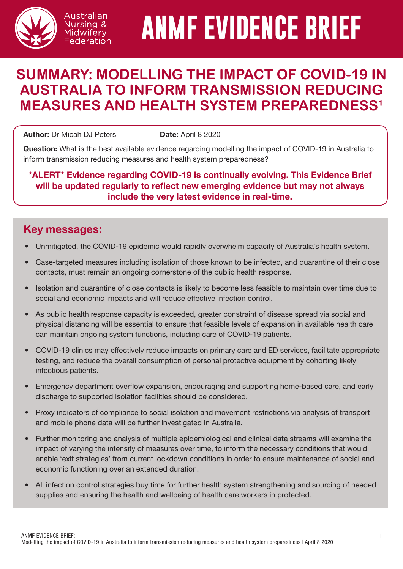

Australian Nursing & Midwifery Federation

# **ANMF EVIDENCE BRIEF**

## **SUMMARY: MODELLING THE IMPACT OF COVID-19 IN AUSTRALIA TO INFORM TRANSMISSION REDUCING MEASURES AND HEALTH SYSTEM PREPAREDNESS1**

Author: Dr Micah DJ Peters **Date:** April 8 2020

Question: What is the best available evidence regarding modelling the impact of COVID-19 in Australia to inform transmission reducing measures and health system preparedness?

### \*ALERT\* Evidence regarding COVID-19 is continually evolving. This Evidence Brief will be updated regularly to reflect new emerging evidence but may not always include the very latest evidence in real-time.

## **Key messages:**

- Unmitigated, the COVID-19 epidemic would rapidly overwhelm capacity of Australia's health system.
- Case-targeted measures including isolation of those known to be infected, and quarantine of their close contacts, must remain an ongoing cornerstone of the public health response.
- Isolation and quarantine of close contacts is likely to become less feasible to maintain over time due to social and economic impacts and will reduce effective infection control.
- As public health response capacity is exceeded, greater constraint of disease spread via social and physical distancing will be essential to ensure that feasible levels of expansion in available health care can maintain ongoing system functions, including care of COVID-19 patients.
- COVID-19 clinics may effectively reduce impacts on primary care and ED services, facilitate appropriate testing, and reduce the overall consumption of personal protective equipment by cohorting likely infectious patients.
- Emergency department overflow expansion, encouraging and supporting home-based care, and early discharge to supported isolation facilities should be considered.
- Proxy indicators of compliance to social isolation and movement restrictions via analysis of transport and mobile phone data will be further investigated in Australia.
- Further monitoring and analysis of multiple epidemiological and clinical data streams will examine the impact of varying the intensity of measures over time, to inform the necessary conditions that would enable 'exit strategies' from current lockdown conditions in order to ensure maintenance of social and economic functioning over an extended duration.
- All infection control strategies buy time for further health system strengthening and sourcing of needed supplies and ensuring the health and wellbeing of health care workers in protected.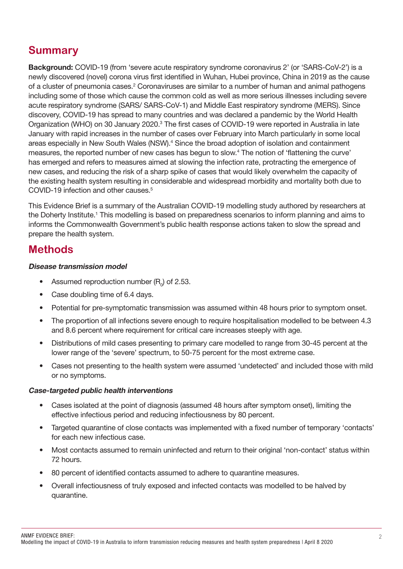## **Summary**

Background: COVID-19 (from 'severe acute respiratory syndrome coronavirus 2' (or 'SARS-CoV-2') is a newly discovered (novel) corona virus first identified in Wuhan, Hubei province, China in 2019 as the cause of a cluster of pneumonia cases.<sup>2</sup> Coronaviruses are similar to a number of human and animal pathogens including some of those which cause the common cold as well as more serious illnesses including severe acute respiratory syndrome (SARS/ SARS-CoV-1) and Middle East respiratory syndrome (MERS). Since discovery, COVID-19 has spread to many countries and was declared a pandemic by the World Health Organization (WHO) on 30 January 2020.<sup>3</sup> The first cases of COVID-19 were reported in Australia in late January with rapid increases in the number of cases over February into March particularly in some local areas especially in New South Wales (NSW).<sup>4</sup> Since the broad adoption of isolation and containment measures, the reported number of new cases has begun to slow.4 The notion of 'flattening the curve' has emerged and refers to measures aimed at slowing the infection rate, protracting the emergence of new cases, and reducing the risk of a sharp spike of cases that would likely overwhelm the capacity of the existing health system resulting in considerable and widespread morbidity and mortality both due to COVID-19 infection and other causes.<sup>5</sup>

This Evidence Brief is a summary of the Australian COVID-19 modelling study authored by researchers at the Doherty Institute.<sup>1</sup> This modelling is based on preparedness scenarios to inform planning and aims to informs the Commonwealth Government's public health response actions taken to slow the spread and prepare the health system.

## **Methods**

#### Disease transmission model

- Assumed reproduction number  $(R_0)$  of 2.53.
- Case doubling time of 6.4 days.
- Potential for pre-symptomatic transmission was assumed within 48 hours prior to symptom onset.
- The proportion of all infections severe enough to require hospitalisation modelled to be between 4.3 and 8.6 percent where requirement for critical care increases steeply with age.
- Distributions of mild cases presenting to primary care modelled to range from 30-45 percent at the lower range of the 'severe' spectrum, to 50-75 percent for the most extreme case.
- Cases not presenting to the health system were assumed 'undetected' and included those with mild or no symptoms.

#### Case-targeted public health interventions

- Cases isolated at the point of diagnosis (assumed 48 hours after symptom onset), limiting the effective infectious period and reducing infectiousness by 80 percent.
- Targeted quarantine of close contacts was implemented with a fixed number of temporary 'contacts' for each new infectious case.
- Most contacts assumed to remain uninfected and return to their original 'non-contact' status within 72 hours.
- 80 percent of identified contacts assumed to adhere to quarantine measures.
- Overall infectiousness of truly exposed and infected contacts was modelled to be halved by quarantine.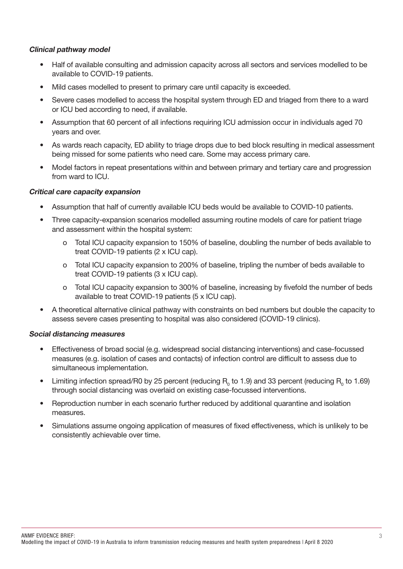#### Clinical pathway model

- Half of available consulting and admission capacity across all sectors and services modelled to be available to COVID-19 patients.
- Mild cases modelled to present to primary care until capacity is exceeded.
- Severe cases modelled to access the hospital system through ED and triaged from there to a ward or ICU bed according to need, if available.
- Assumption that 60 percent of all infections requiring ICU admission occur in individuals aged 70 years and over.
- As wards reach capacity, ED ability to triage drops due to bed block resulting in medical assessment being missed for some patients who need care. Some may access primary care.
- Model factors in repeat presentations within and between primary and tertiary care and progression from ward to ICU.

#### Critical care capacity expansion

- Assumption that half of currently available ICU beds would be available to COVID-10 patients.
- Three capacity-expansion scenarios modelled assuming routine models of care for patient triage and assessment within the hospital system:
	- o Total ICU capacity expansion to 150% of baseline, doubling the number of beds available to treat COVID-19 patients (2 x ICU cap).
	- o Total ICU capacity expansion to 200% of baseline, tripling the number of beds available to treat COVID-19 patients (3 x ICU cap).
	- o Total ICU capacity expansion to 300% of baseline, increasing by fivefold the number of beds available to treat COVID-19 patients (5 x ICU cap).
- A theoretical alternative clinical pathway with constraints on bed numbers but double the capacity to assess severe cases presenting to hospital was also considered (COVID-19 clinics).

#### Social distancing measures

- Effectiveness of broad social (e.g. widespread social distancing interventions) and case-focussed measures (e.g. isolation of cases and contacts) of infection control are difficult to assess due to simultaneous implementation.
- Limiting infection spread/R0 by 25 percent (reducing  $R_0$  to 1.9) and 33 percent (reducing  $R_0$  to 1.69) through social distancing was overlaid on existing case-focussed interventions.
- Reproduction number in each scenario further reduced by additional quarantine and isolation measures.
- Simulations assume ongoing application of measures of fixed effectiveness, which is unlikely to be consistently achievable over time.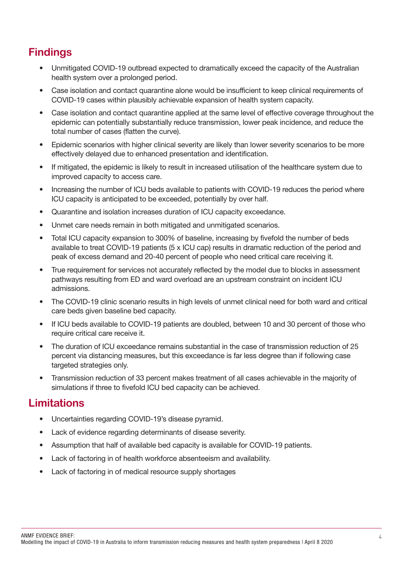## **Findings**

- Unmitigated COVID-19 outbread expected to dramatically exceed the capacity of the Australian health system over a prolonged period.
- Case isolation and contact quarantine alone would be insufficient to keep clinical requirements of COVID-19 cases within plausibly achievable expansion of health system capacity.
- Case isolation and contact quarantine applied at the same level of effective coverage throughout the epidemic can potentially substantially reduce transmission, lower peak incidence, and reduce the total number of cases (flatten the curve).
- Epidemic scenarios with higher clinical severity are likely than lower severity scenarios to be more effectively delayed due to enhanced presentation and identification.
- If mitigated, the epidemic is likely to result in increased utilisation of the healthcare system due to improved capacity to access care.
- Increasing the number of ICU beds available to patients with COVID-19 reduces the period where ICU capacity is anticipated to be exceeded, potentially by over half.
- Quarantine and isolation increases duration of ICU capacity exceedance.
- Unmet care needs remain in both mitigated and unmitigated scenarios.
- Total ICU capacity expansion to 300% of baseline, increasing by fivefold the number of beds available to treat COVID-19 patients (5 x ICU cap) results in dramatic reduction of the period and peak of excess demand and 20-40 percent of people who need critical care receiving it.
- True requirement for services not accurately reflected by the model due to blocks in assessment pathways resulting from ED and ward overload are an upstream constraint on incident ICU admissions.
- The COVID-19 clinic scenario results in high levels of unmet clinical need for both ward and critical care beds given baseline bed capacity.
- If ICU beds available to COVID-19 patients are doubled, between 10 and 30 percent of those who require critical care receive it.
- The duration of ICU exceedance remains substantial in the case of transmission reduction of 25 percent via distancing measures, but this exceedance is far less degree than if following case targeted strategies only.
- Transmission reduction of 33 percent makes treatment of all cases achievable in the majority of simulations if three to fivefold ICU bed capacity can be achieved.

## **Limitations**

- Uncertainties regarding COVID-19's disease pyramid.
- Lack of evidence regarding determinants of disease severity.
- Assumption that half of available bed capacity is available for COVID-19 patients.
- Lack of factoring in of health workforce absenteeism and availability.
- Lack of factoring in of medical resource supply shortages